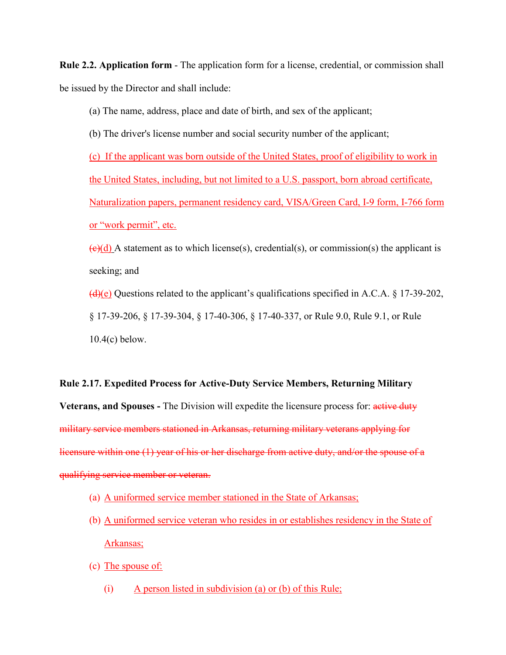**Rule 2.2. Application form** - The application form for a license, credential, or commission shall be issued by the Director and shall include:

(a) The name, address, place and date of birth, and sex of the applicant;

(b) The driver's license number and social security number of the applicant;

(c) If the applicant was born outside of the United States, proof of eligibility to work in the United States, including, but not limited to a U.S. passport, born abroad certificate, Naturalization papers, permanent residency card, VISA/Green Card, I-9 form, I-766 form or "work permit", etc.

 $\left(\frac{e}{d}\right)$  A statement as to which license(s), credential(s), or commission(s) the applicant is seeking; and  $\left(\frac{d}{e}\right)$  Questions related to the applicant's qualifications specified in A.C.A. § 17-39-202, § 17-39-206, § 17-39-304, § 17-40-306, § 17-40-337, or Rule 9.0, Rule 9.1, or Rule

10.4(c) below.

## **Rule 2.17. Expedited Process for Active-Duty Service Members, Returning Military**

**Veterans, and Spouses -** The Division will expedite the licensure process for: active duty military service members stationed in Arkansas, returning military veterans applying for licensure within one (1) year of his or her discharge from active duty, and/or the spouse of a qualifying service member or veteran.

- (a) A uniformed service member stationed in the State of Arkansas;
- (b) A uniformed service veteran who resides in or establishes residency in the State of Arkansas;
- (c) The spouse of:
	- (i) A person listed in subdivision (a) or (b) of this Rule;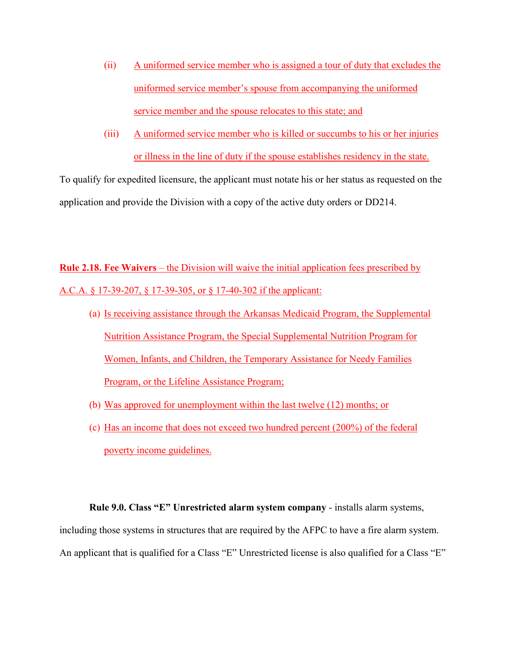- (ii) A uniformed service member who is assigned a tour of duty that excludes the uniformed service member's spouse from accompanying the uniformed service member and the spouse relocates to this state; and
- (iii) A uniformed service member who is killed or succumbs to his or her injuries or illness in the line of duty if the spouse establishes residency in the state.

To qualify for expedited licensure, the applicant must notate his or her status as requested on the application and provide the Division with a copy of the active duty orders or DD214.

**Rule 2.18. Fee Waivers** – the Division will waive the initial application fees prescribed by A.C.A. § 17-39-207, § 17-39-305, or § 17-40-302 if the applicant:

- (a) Is receiving assistance through the Arkansas Medicaid Program, the Supplemental Nutrition Assistance Program, the Special Supplemental Nutrition Program for Women, Infants, and Children, the Temporary Assistance for Needy Families Program, or the Lifeline Assistance Program;
- (b) Was approved for unemployment within the last twelve (12) months; or
- (c) Has an income that does not exceed two hundred percent (200%) of the federal poverty income guidelines.

**Rule 9.0. Class "E" Unrestricted alarm system company** - installs alarm systems, including those systems in structures that are required by the AFPC to have a fire alarm system. An applicant that is qualified for a Class "E" Unrestricted license is also qualified for a Class "E"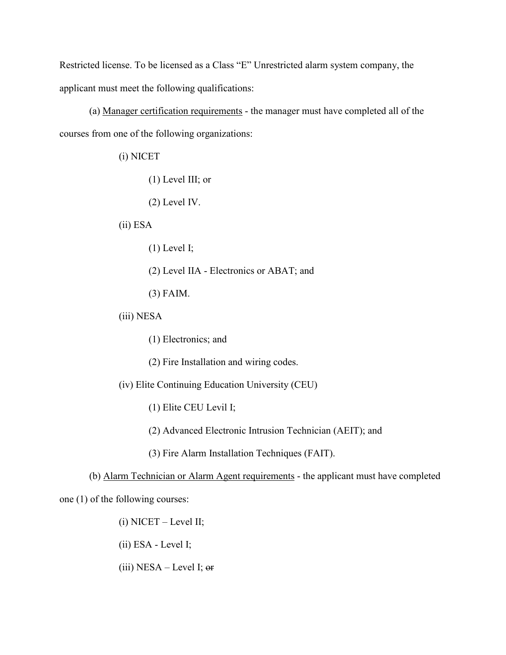Restricted license. To be licensed as a Class "E" Unrestricted alarm system company, the applicant must meet the following qualifications:

(a) Manager certification requirements - the manager must have completed all of the courses from one of the following organizations:

(i) NICET

(1) Level III; or

(2) Level IV.

(ii) ESA

(1) Level I;

(2) Level IIA - Electronics or ABAT; and

(3) FAIM.

(iii) NESA

(1) Electronics; and

(2) Fire Installation and wiring codes.

(iv) Elite Continuing Education University (CEU)

(1) Elite CEU Levil I;

(2) Advanced Electronic Intrusion Technician (AEIT); and

(3) Fire Alarm Installation Techniques (FAIT).

(b) Alarm Technician or Alarm Agent requirements - the applicant must have completed

one (1) of the following courses:

(i) NICET – Level II;

(ii) ESA - Level I;

(iii)  $NESA - Level I;$  or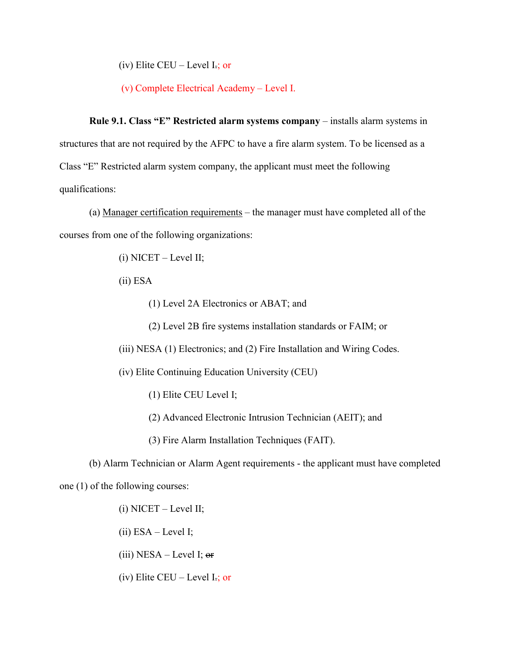(iv) Elite CEU – Level I.; or

(v) Complete Electrical Academy – Level I.

**Rule 9.1. Class "E" Restricted alarm systems company** – installs alarm systems in structures that are not required by the AFPC to have a fire alarm system. To be licensed as a Class "E" Restricted alarm system company, the applicant must meet the following qualifications:

(a) Manager certification requirements – the manager must have completed all of the courses from one of the following organizations:

(i) NICET – Level II;

(ii) ESA

(1) Level 2A Electronics or ABAT; and

(2) Level 2B fire systems installation standards or FAIM; or

(iii) NESA (1) Electronics; and (2) Fire Installation and Wiring Codes.

(iv) Elite Continuing Education University (CEU)

(1) Elite CEU Level I;

(2) Advanced Electronic Intrusion Technician (AEIT); and

(3) Fire Alarm Installation Techniques (FAIT).

(b) Alarm Technician or Alarm Agent requirements - the applicant must have completed one (1) of the following courses:

(i) NICET – Level II;

 $(ii)$  ESA – Level I;

(iii)  $NESA - Level I;$  or

(iv) Elite CEU – Level I.; or